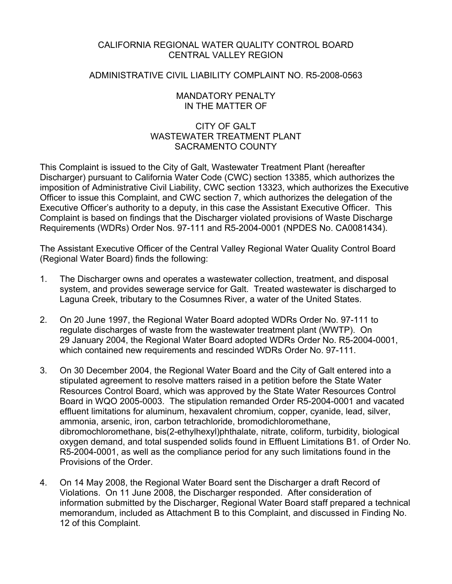## CALIFORNIA REGIONAL WATER QUALITY CONTROL BOARD CENTRAL VALLEY REGION

### ADMINISTRATIVE CIVIL LIABILITY COMPLAINT NO. R5-2008-0563

### MANDATORY PENALTY IN THE MATTER OF

## CITY OF GALT WASTEWATER TREATMENT PLANT SACRAMENTO COUNTY

This Complaint is issued to the City of Galt, Wastewater Treatment Plant (hereafter Discharger) pursuant to California Water Code (CWC) section 13385, which authorizes the imposition of Administrative Civil Liability, CWC section 13323, which authorizes the Executive Officer to issue this Complaint, and CWC section 7, which authorizes the delegation of the Executive Officer's authority to a deputy, in this case the Assistant Executive Officer. This Complaint is based on findings that the Discharger violated provisions of Waste Discharge Requirements (WDRs) Order Nos. 97-111 and R5-2004-0001 (NPDES No. CA0081434).

The Assistant Executive Officer of the Central Valley Regional Water Quality Control Board (Regional Water Board) finds the following:

- 1. The Discharger owns and operates a wastewater collection, treatment, and disposal system, and provides sewerage service for Galt. Treated wastewater is discharged to Laguna Creek, tributary to the Cosumnes River, a water of the United States.
- 2. On 20 June 1997, the Regional Water Board adopted WDRs Order No. 97-111 to regulate discharges of waste from the wastewater treatment plant (WWTP). On 29 January 2004, the Regional Water Board adopted WDRs Order No. R5-2004-0001, which contained new requirements and rescinded WDRs Order No. 97-111.
- 3. On 30 December 2004, the Regional Water Board and the City of Galt entered into a stipulated agreement to resolve matters raised in a petition before the State Water Resources Control Board, which was approved by the State Water Resources Control Board in WQO 2005-0003. The stipulation remanded Order R5-2004-0001 and vacated effluent limitations for aluminum, hexavalent chromium, copper, cyanide, lead, silver, ammonia, arsenic, iron, carbon tetrachloride, bromodichloromethane, dibromochloromethane, bis(2-ethylhexyl)phthalate, nitrate, coliform, turbidity, biological oxygen demand, and total suspended solids found in Effluent Limitations B1. of Order No. R5-2004-0001, as well as the compliance period for any such limitations found in the Provisions of the Order.
- 4. On 14 May 2008, the Regional Water Board sent the Discharger a draft Record of Violations. On 11 June 2008, the Discharger responded. After consideration of information submitted by the Discharger, Regional Water Board staff prepared a technical memorandum, included as Attachment B to this Complaint, and discussed in Finding No. 12 of this Complaint.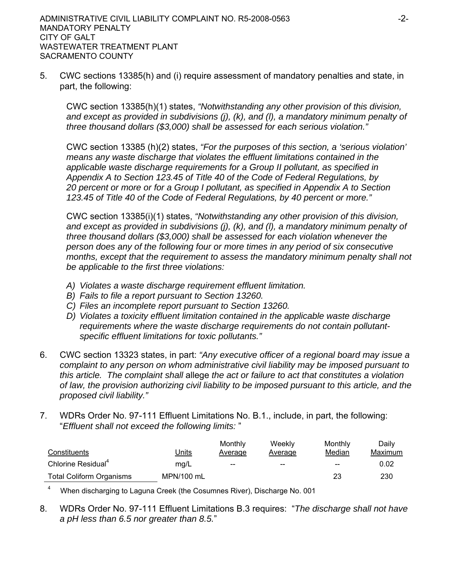5. CWC sections 13385(h) and (i) require assessment of mandatory penalties and state, in part, the following:

CWC section 13385(h)(1) states, *"Notwithstanding any other provision of this division, and except as provided in subdivisions (j), (k), and (l), a mandatory minimum penalty of three thousand dollars (\$3,000) shall be assessed for each serious violation."* 

CWC section 13385 (h)(2) states, *"For the purposes of this section, a 'serious violation' means any waste discharge that violates the effluent limitations contained in the applicable waste discharge requirements for a Group II pollutant, as specified in Appendix A to Section 123.45 of Title 40 of the Code of Federal Regulations, by 20 percent or more or for a Group I pollutant, as specified in Appendix A to Section 123.45 of Title 40 of the Code of Federal Regulations, by 40 percent or more."*

CWC section 13385(i)(1) states, *"Notwithstanding any other provision of this division, and except as provided in subdivisions (j), (k), and (l), a mandatory minimum penalty of three thousand dollars (\$3,000) shall be assessed for each violation whenever the person does any of the following four or more times in any period of six consecutive months, except that the requirement to assess the mandatory minimum penalty shall not be applicable to the first three violations:*

- *A) Violates a waste discharge requirement effluent limitation.*
- *B) Fails to file a report pursuant to Section 13260.*
- *C) Files an incomplete report pursuant to Section 13260.*
- *D) Violates a toxicity effluent limitation contained in the applicable waste discharge requirements where the waste discharge requirements do not contain pollutantspecific effluent limitations for toxic pollutants."*
- 6. CWC section 13323 states, in part: *"Any executive officer of a regional board may issue a complaint to any person on whom administrative civil liability may be imposed pursuant to this article. The complaint shall* allege *the act or failure to act that constitutes a violation of law, the provision authorizing civil liability to be imposed pursuant to this article, and the proposed civil liability."*
- 7. WDRs Order No. 97-111 Effluent Limitations No. B.1., include, in part, the following: "*Effluent shall not exceed the following limits:* "

| Constituents                    | Units      | Monthly<br>Average | Weekly<br>Average | Monthly<br>Median | Dailv<br>Maximum |
|---------------------------------|------------|--------------------|-------------------|-------------------|------------------|
| Chlorine Residual <sup>4</sup>  | mg/L       | $- -$              | $- -$             | $- -$             | 0.02             |
| <b>Total Coliform Organisms</b> | MPN/100 mL |                    |                   | 23                | 230              |

4 When discharging to Laguna Creek (the Cosumnes River), Discharge No. 001

8. WDRs Order No. 97-111 Effluent Limitations B.3 requires: "*The discharge shall not have a pH less than 6.5 nor greater than 8.5.*"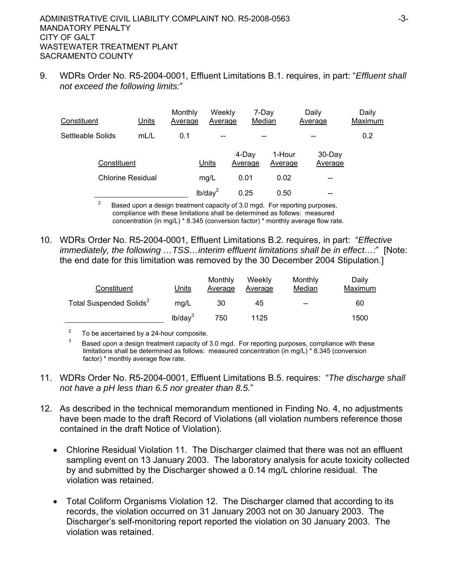9. WDRs Order No. R5-2004-0001, Effluent Limitations B.1. requires, in part: "*Effluent shall not exceed the following limits:*"

| Constituent              | Units | Monthly<br>Average | Weekly<br>Average        | 7-Day<br>Median  |                   | Daily<br>Average  | Daily<br>Maximum |
|--------------------------|-------|--------------------|--------------------------|------------------|-------------------|-------------------|------------------|
| Settleable Solids        | mL/L  | 0.1                | $\qquad \qquad \qquad -$ | --               |                   | --                | 0.2              |
| Constituent              |       |                    | Units                    | 4-Dav<br>Average | 1-Hour<br>Average | 30-Day<br>Average |                  |
| <b>Chlorine Residual</b> |       |                    | mg/L                     | 0.01             | 0.02              | --                |                  |
|                          |       |                    | lb/day <sup>2</sup>      | 0.25             | 0.50              | --                |                  |

2 Based upon a design treatment capacity of 3.0 mgd. For reporting purposes, compliance with these limitations shall be determined as follows: measured concentration (in mg/L) \* 8.345 (conversion factor) \* monthly average flow rate.

10. WDRs Order No. R5-2004-0001, Effluent Limitations B.2. requires, in part: "*Effective immediately, the following …TSS…interim effluent limitations shall be in effect…:*" [Note: the end date for this limitation was removed by the 30 December 2004 Stipulation.]

| Constituent                         | Units               | Monthly<br>Average | Weekly<br>Average | Monthly<br>Median | Dailv<br>Maximum |
|-------------------------------------|---------------------|--------------------|-------------------|-------------------|------------------|
| Total Suspended Solids <sup>2</sup> | mg/L                | 30                 | 45                | $- -$             | 60               |
|                                     | lb/day <sup>3</sup> | 750                | 1125              |                   | 1500             |

 $2^2$  To be ascertained by a 24-hour composite.

3 Based upon a design treatment capacity of 3.0 mgd. For reporting purposes, compliance with these limitations shall be determined as follows: measured concentration (in mg/L) \* 8.345 (conversion factor) \* monthly average flow rate.

- 11. WDRs Order No. R5-2004-0001, Effluent Limitations B.5. requires: "*The discharge shall not have a pH less than 6.5 nor greater than 8.5.*"
- 12. As described in the technical memorandum mentioned in Finding No. 4, no adjustments have been made to the draft Record of Violations (all violation numbers reference those contained in the draft Notice of Violation).
	- Chlorine Residual Violation 11. The Discharger claimed that there was not an effluent sampling event on 13 January 2003. The laboratory analysis for acute toxicity collected by and submitted by the Discharger showed a 0.14 mg/L chlorine residual. The violation was retained.
	- Total Coliform Organisms Violation 12. The Discharger clamed that according to its records, the violation occurred on 31 January 2003 not on 30 January 2003. The Discharger's self-monitoring report reported the violation on 30 January 2003. The violation was retained.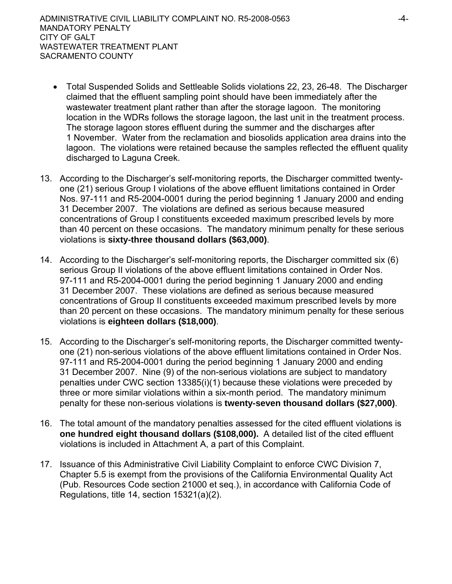- Total Suspended Solids and Settleable Solids violations 22, 23, 26-48. The Discharger claimed that the effluent sampling point should have been immediately after the wastewater treatment plant rather than after the storage lagoon. The monitoring location in the WDRs follows the storage lagoon, the last unit in the treatment process. The storage lagoon stores effluent during the summer and the discharges after 1 November. Water from the reclamation and biosolids application area drains into the lagoon. The violations were retained because the samples reflected the effluent quality discharged to Laguna Creek.
- 13. According to the Discharger's self-monitoring reports, the Discharger committed twentyone (21) serious Group I violations of the above effluent limitations contained in Order Nos. 97-111 and R5-2004-0001 during the period beginning 1 January 2000 and ending 31 December 2007. The violations are defined as serious because measured concentrations of Group I constituents exceeded maximum prescribed levels by more than 40 percent on these occasions. The mandatory minimum penalty for these serious violations is **sixty-three thousand dollars (\$63,000)**.
- 14. According to the Discharger's self-monitoring reports, the Discharger committed six (6) serious Group II violations of the above effluent limitations contained in Order Nos. 97-111 and R5-2004-0001 during the period beginning 1 January 2000 and ending 31 December 2007. These violations are defined as serious because measured concentrations of Group II constituents exceeded maximum prescribed levels by more than 20 percent on these occasions. The mandatory minimum penalty for these serious violations is **eighteen dollars (\$18,000)**.
- 15. According to the Discharger's self-monitoring reports, the Discharger committed twentyone (21) non-serious violations of the above effluent limitations contained in Order Nos. 97-111 and R5-2004-0001 during the period beginning 1 January 2000 and ending 31 December 2007. Nine (9) of the non-serious violations are subject to mandatory penalties under CWC section 13385(i)(1) because these violations were preceded by three or more similar violations within a six-month period. The mandatory minimum penalty for these non-serious violations is **twenty-seven thousand dollars (\$27,000)**.
- 16. The total amount of the mandatory penalties assessed for the cited effluent violations is **one hundred eight thousand dollars (\$108,000).** A detailed list of the cited effluent violations is included in Attachment A, a part of this Complaint.
- 17. Issuance of this Administrative Civil Liability Complaint to enforce CWC Division 7, Chapter 5.5 is exempt from the provisions of the California Environmental Quality Act (Pub. Resources Code section 21000 et seq.), in accordance with California Code of Regulations, title 14, section 15321(a)(2).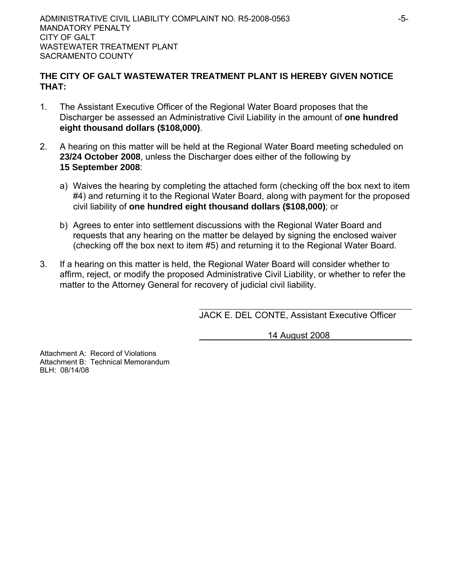## **THE CITY OF GALT WASTEWATER TREATMENT PLANT IS HEREBY GIVEN NOTICE THAT:**

- 1. The Assistant Executive Officer of the Regional Water Board proposes that the Discharger be assessed an Administrative Civil Liability in the amount of **one hundred eight thousand dollars (\$108,000)**.
- 2. A hearing on this matter will be held at the Regional Water Board meeting scheduled on **23/24 October 2008**, unless the Discharger does either of the following by **15 September 2008**:
	- a) Waives the hearing by completing the attached form (checking off the box next to item #4) and returning it to the Regional Water Board, along with payment for the proposed civil liability of **one hundred eight thousand dollars (\$108,000)**; or
	- b) Agrees to enter into settlement discussions with the Regional Water Board and requests that any hearing on the matter be delayed by signing the enclosed waiver (checking off the box next to item #5) and returning it to the Regional Water Board.
- 3. If a hearing on this matter is held, the Regional Water Board will consider whether to affirm, reject, or modify the proposed Administrative Civil Liability, or whether to refer the matter to the Attorney General for recovery of judicial civil liability.

JACK E. DEL CONTE, Assistant Executive Officer

14 August 2008

Attachment A: Record of Violations Attachment B: Technical Memorandum BLH: 08/14/08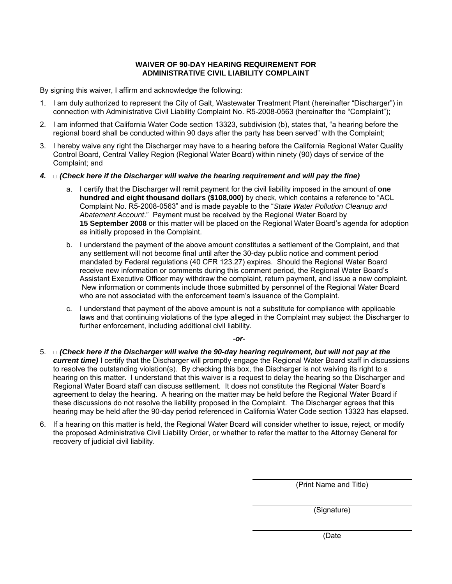#### **WAIVER OF 90-DAY HEARING REQUIREMENT FOR ADMINISTRATIVE CIVIL LIABILITY COMPLAINT**

By signing this waiver, I affirm and acknowledge the following:

- 1. I am duly authorized to represent the City of Galt, Wastewater Treatment Plant (hereinafter "Discharger") in connection with Administrative Civil Liability Complaint No. R5-2008-0563 (hereinafter the "Complaint");
- 2. I am informed that California Water Code section 13323, subdivision (b), states that, "a hearing before the regional board shall be conducted within 90 days after the party has been served" with the Complaint;
- 3. I hereby waive any right the Discharger may have to a hearing before the California Regional Water Quality Control Board, Central Valley Region (Regional Water Board) within ninety (90) days of service of the Complaint; and
- *4.* □ *(Check here if the Discharger will waive the hearing requirement and will pay the fine)* 
	- a. I certify that the Discharger will remit payment for the civil liability imposed in the amount of **one hundred and eight thousand dollars (\$108,000)** by check, which contains a reference to "ACL Complaint No. R5-2008-0563" and is made payable to the "*State Water Pollution Cleanup and Abatement Account*." Payment must be received by the Regional Water Board by **15 September 2008** or this matter will be placed on the Regional Water Board's agenda for adoption as initially proposed in the Complaint.
	- b. I understand the payment of the above amount constitutes a settlement of the Complaint, and that any settlement will not become final until after the 30-day public notice and comment period mandated by Federal regulations (40 CFR 123.27) expires. Should the Regional Water Board receive new information or comments during this comment period, the Regional Water Board's Assistant Executive Officer may withdraw the complaint, return payment, and issue a new complaint. New information or comments include those submitted by personnel of the Regional Water Board who are not associated with the enforcement team's issuance of the Complaint.
	- c. I understand that payment of the above amount is not a substitute for compliance with applicable laws and that continuing violations of the type alleged in the Complaint may subject the Discharger to further enforcement, including additional civil liability.

*-or-*

- 5. □ *(Check here if the Discharger will waive the 90-day hearing requirement, but will not pay at the current time*) I certify that the Discharger will promptly engage the Regional Water Board staff in discussions to resolve the outstanding violation(s). By checking this box, the Discharger is not waiving its right to a hearing on this matter. I understand that this waiver is a request to delay the hearing so the Discharger and Regional Water Board staff can discuss settlement. It does not constitute the Regional Water Board's agreement to delay the hearing. A hearing on the matter may be held before the Regional Water Board if these discussions do not resolve the liability proposed in the Complaint. The Discharger agrees that this hearing may be held after the 90-day period referenced in California Water Code section 13323 has elapsed.
- 6. If a hearing on this matter is held, the Regional Water Board will consider whether to issue, reject, or modify the proposed Administrative Civil Liability Order, or whether to refer the matter to the Attorney General for recovery of judicial civil liability.

(Print Name and Title)

(Signature)

(Date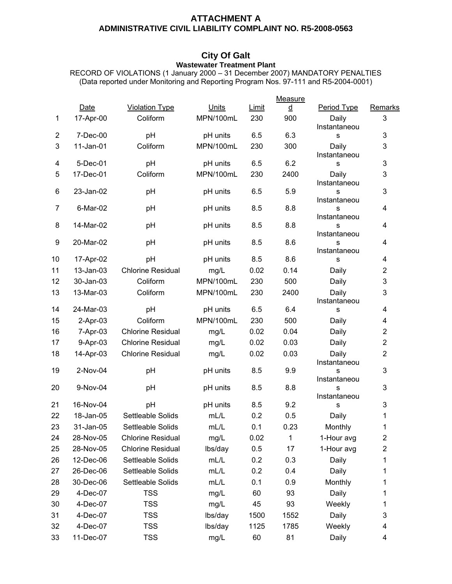### **ATTACHMENT A ADMINISTRATIVE CIVIL LIABILITY COMPLAINT NO. R5-2008-0563**

#### **City Of Galt Wastewater Treatment Plant**

RECORD OF VIOLATIONS (1 January 2000 – 31 December 2007) MANDATORY PENALTIES (Data reported under Monitoring and Reporting Program Nos. 97-111 and R5-2004-0001)

|                |             |                          |           |       | Measure                  |                       |                  |
|----------------|-------------|--------------------------|-----------|-------|--------------------------|-----------------------|------------------|
|                | <b>Date</b> | <b>Violation Type</b>    | Units     | Limit | $\underline{\mathsf{d}}$ | Period Type           | Remarks          |
| $\mathbf 1$    | 17-Apr-00   | Coliform                 | MPN/100mL | 230   | 900                      | Daily<br>Instantaneou | 3                |
| $\overline{2}$ | 7-Dec-00    | pH                       | pH units  | 6.5   | 6.3                      | s                     | 3                |
| 3              | 11-Jan-01   | Coliform                 | MPN/100mL | 230   | 300                      | Daily<br>Instantaneou | 3                |
| 4              | 5-Dec-01    | pH                       | pH units  | 6.5   | 6.2                      | s                     | 3                |
| 5              | 17-Dec-01   | Coliform                 | MPN/100mL | 230   | 2400                     | Daily<br>Instantaneou | 3                |
| 6              | 23-Jan-02   | pH                       | pH units  | 6.5   | 5.9                      | s<br>Instantaneou     | 3                |
| $\overline{7}$ | 6-Mar-02    | pH                       | pH units  | 8.5   | 8.8                      | S<br>Instantaneou     | 4                |
| 8              | 14-Mar-02   | pH                       | pH units  | 8.5   | 8.8                      | S<br>Instantaneou     | 4                |
| 9              | 20-Mar-02   | pH                       | pH units  | 8.5   | 8.6                      | s<br>Instantaneou     | 4                |
| 10             | 17-Apr-02   | pH                       | pH units  | 8.5   | 8.6                      | s                     | 4                |
| 11             | 13-Jan-03   | <b>Chlorine Residual</b> | mg/L      | 0.02  | 0.14                     | Daily                 | $\boldsymbol{2}$ |
| 12             | 30-Jan-03   | Coliform                 | MPN/100mL | 230   | 500                      | Daily                 | 3                |
| 13             | 13-Mar-03   | Coliform                 | MPN/100mL | 230   | 2400                     | Daily<br>Instantaneou | 3                |
| 14             | 24-Mar-03   | pH                       | pH units  | 6.5   | 6.4                      | s                     | 4                |
| 15             | $2-Apr-03$  | Coliform                 | MPN/100mL | 230   | 500                      | Daily                 | 4                |
| 16             | 7-Apr-03    | <b>Chlorine Residual</b> | mg/L      | 0.02  | 0.04                     | Daily                 | $\overline{2}$   |
| 17             | 9-Apr-03    | <b>Chlorine Residual</b> | mg/L      | 0.02  | 0.03                     | Daily                 | $\overline{2}$   |
| 18             | 14-Apr-03   | <b>Chlorine Residual</b> | mg/L      | 0.02  | 0.03                     | Daily<br>Instantaneou | $\overline{2}$   |
| 19             | 2-Nov-04    | pH                       | pH units  | 8.5   | 9.9                      | S<br>Instantaneou     | 3                |
| 20             | 9-Nov-04    | pH                       | pH units  | 8.5   | 8.8                      | S<br>Instantaneou     | 3                |
| 21             | 16-Nov-04   | pH                       | pH units  | 8.5   | 9.2                      | S                     | 3                |
| 22             | 18-Jan-05   | Settleable Solids        | mL/L      | 0.2   | 0.5                      | Daily                 | 1                |
| 23             | 31-Jan-05   | Settleable Solids        | mL/L      | 0.1   | 0.23                     | Monthly               | 1                |
| 24             | 28-Nov-05   | <b>Chlorine Residual</b> | mg/L      | 0.02  | 1                        | 1-Hour avg            | $\overline{2}$   |
| 25             | 28-Nov-05   | <b>Chlorine Residual</b> | lbs/day   | 0.5   | 17                       | 1-Hour avg            | 2                |
| 26             | 12-Dec-06   | Settleable Solids        | mL/L      | 0.2   | 0.3                      | Daily                 | 1                |
| 27             | 26-Dec-06   | Settleable Solids        | mL/L      | 0.2   | 0.4                      | Daily                 | 1                |
| 28             | 30-Dec-06   | Settleable Solids        | mL/L      | 0.1   | 0.9                      | Monthly               | 1                |
| 29             | 4-Dec-07    | <b>TSS</b>               | mg/L      | 60    | 93                       | Daily                 | 1                |
| 30             | 4-Dec-07    | <b>TSS</b>               | mg/L      | 45    | 93                       | Weekly                | 1                |
| 31             | 4-Dec-07    | <b>TSS</b>               | lbs/day   | 1500  | 1552                     | Daily                 | 3                |
| 32             | 4-Dec-07    | <b>TSS</b>               | lbs/day   | 1125  | 1785                     | Weekly                | 4                |
| 33             | 11-Dec-07   | <b>TSS</b>               | mg/L      | 60    | 81                       | Daily                 | 4                |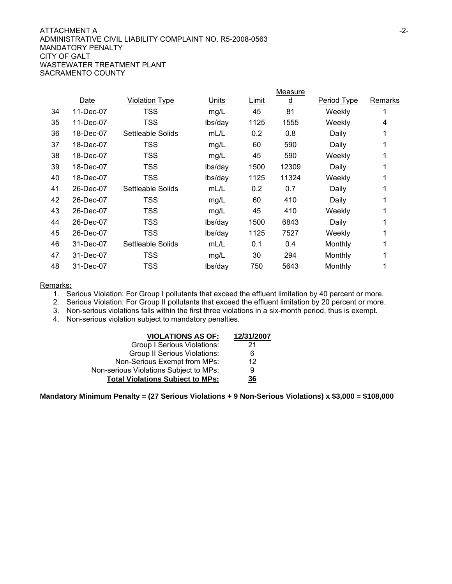#### ATTACHMENT A FAILLEAD AND THE SERIES OF THE SERIES OF THE SERIES OF THE SERIES OF THE SERIES OF THE SERIES OF THE SERIES OF THE SERIES OF THE SERIES OF THE SERIES OF THE SERIES OF THE SERIES OF THE SERIES OF THE SERIES OF ADMINISTRATIVE CIVIL LIABILITY COMPLAINT NO. R5-2008-0563 MANDATORY PENALTY CITY OF GALT WASTEWATER TREATMENT PLANT SACRAMENTO COUNTY

|    |           |                       |         |       | Measure  |                    |         |
|----|-----------|-----------------------|---------|-------|----------|--------------------|---------|
|    | Date      | <b>Violation Type</b> | Units   | Limit | <u>d</u> | <b>Period Type</b> | Remarks |
| 34 | 11-Dec-07 | <b>TSS</b>            | mg/L    | 45    | 81       | Weekly             |         |
| 35 | 11-Dec-07 | TSS                   | lbs/day | 1125  | 1555     | Weekly             | 4       |
| 36 | 18-Dec-07 | Settleable Solids     | mL/L    | 0.2   | 0.8      | Daily              | 1       |
| 37 | 18-Dec-07 | TSS                   | mg/L    | 60    | 590      | Daily              |         |
| 38 | 18-Dec-07 | TSS                   | mg/L    | 45    | 590      | Weekly             |         |
| 39 | 18-Dec-07 | TSS                   | lbs/day | 1500  | 12309    | Daily              |         |
| 40 | 18-Dec-07 | TSS                   | lbs/day | 1125  | 11324    | Weekly             |         |
| 41 | 26-Dec-07 | Settleable Solids     | mL/L    | 0.2   | 0.7      | Daily              |         |
| 42 | 26-Dec-07 | <b>TSS</b>            | mg/L    | 60    | 410      | Daily              |         |
| 43 | 26-Dec-07 | <b>TSS</b>            | mg/L    | 45    | 410      | Weekly             |         |
| 44 | 26-Dec-07 | <b>TSS</b>            | lbs/day | 1500  | 6843     | Daily              |         |
| 45 | 26-Dec-07 | TSS                   | lbs/day | 1125  | 7527     | Weekly             |         |
| 46 | 31-Dec-07 | Settleable Solids     | mL/L    | 0.1   | 0.4      | Monthly            |         |
| 47 | 31-Dec-07 | TSS                   | mg/L    | 30    | 294      | Monthly            |         |
| 48 | 31-Dec-07 | TSS                   | lbs/day | 750   | 5643     | Monthly            |         |
|    |           |                       |         |       |          |                    |         |

#### Remarks:

1. Serious Violation: For Group I pollutants that exceed the effluent limitation by 40 percent or more.

2. Serious Violation: For Group II pollutants that exceed the effluent limitation by 20 percent or more.

3. Non-serious violations falls within the first three violations in a six-month period, thus is exempt.

4. Non-serious violation subject to mandatory penalties.

| <b>VIOLATIONS AS OF:</b>                | 12/31/2007 |
|-----------------------------------------|------------|
| <b>Group I Serious Violations:</b>      | 21         |
| <b>Group II Serious Violations:</b>     | 6          |
| Non-Serious Exempt from MPs:            | 12         |
| Non-serious Violations Subject to MPs:  | 9          |
| <b>Total Violations Subject to MPs:</b> | <u>36</u>  |

**Mandatory Minimum Penalty = (27 Serious Violations + 9 Non-Serious Violations) x \$3,000 = \$108,000**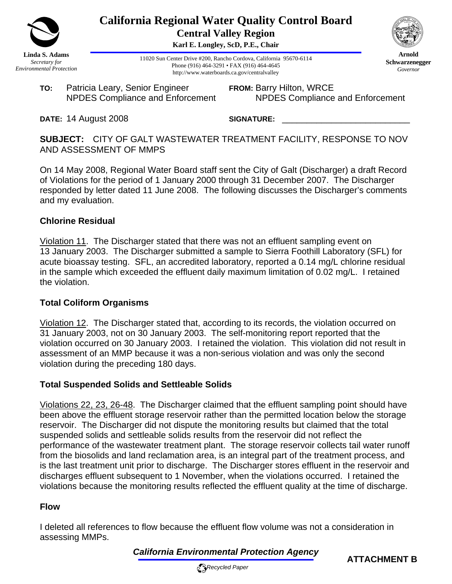

**California Regional Water Quality Control Board Central Valley Region** 

**Karl E. Longley, ScD, P.E., Chair**

11020 Sun Center Drive #200, Rancho Cordova, California 95670-6114 Phone (916) 464-3291 • FAX (916) 464-4645 http://www.waterboards.ca.gov/centralvalley

**TO:** Patricia Leary, Senior Engineer NPDES Compliance and Enforcement **FROM:** Barry Hilton, WRCE NPDES Compliance and Enforcement

**DATE:** 14 August 2008

SIGNATURE:

**SUBJECT:** CITY OF GALT WASTEWATER TREATMENT FACILITY, RESPONSE TO NOV AND ASSESSMENT OF MMPS

On 14 May 2008, Regional Water Board staff sent the City of Galt (Discharger) a draft Record of Violations for the period of 1 January 2000 through 31 December 2007. The Discharger responded by letter dated 11 June 2008. The following discusses the Discharger's comments and my evaluation.

## **Chlorine Residual**

Violation 11. The Discharger stated that there was not an effluent sampling event on 13 January 2003. The Discharger submitted a sample to Sierra Foothill Laboratory (SFL) for acute bioassay testing. SFL, an accredited laboratory, reported a 0.14 mg/L chlorine residual in the sample which exceeded the effluent daily maximum limitation of 0.02 mg/L. I retained the violation.

## **Total Coliform Organisms**

Violation 12. The Discharger stated that, according to its records, the violation occurred on 31 January 2003, not on 30 January 2003. The self-monitoring report reported that the violation occurred on 30 January 2003. I retained the violation. This violation did not result in assessment of an MMP because it was a non-serious violation and was only the second violation during the preceding 180 days.

## **Total Suspended Solids and Settleable Solids**

Violations 22, 23, 26-48. The Discharger claimed that the effluent sampling point should have been above the effluent storage reservoir rather than the permitted location below the storage reservoir. The Discharger did not dispute the monitoring results but claimed that the total suspended solids and settleable solids results from the reservoir did not reflect the performance of the wastewater treatment plant. The storage reservoir collects tail water runoff from the biosolids and land reclamation area, is an integral part of the treatment process, and is the last treatment unit prior to discharge. The Discharger stores effluent in the reservoir and discharges effluent subsequent to 1 November, when the violations occurred. I retained the violations because the monitoring results reflected the effluent quality at the time of discharge.

## **Flow**

I deleted all references to flow because the effluent flow volume was not a consideration in assessing MMPs.

*California Environmental Protection Agency*







**Arnold Schwarzenegger** *Governor*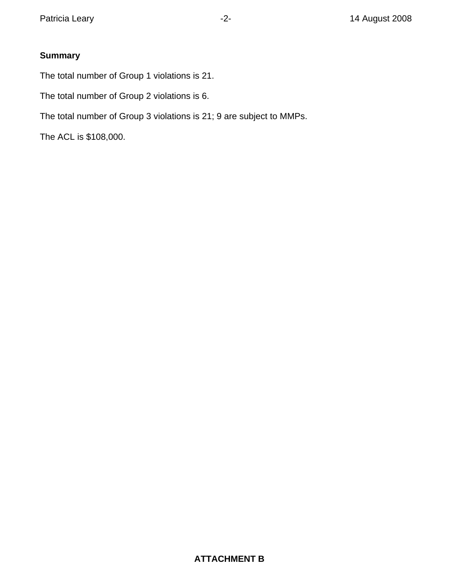# **Summary**

The total number of Group 1 violations is 21.

The total number of Group 2 violations is 6.

The total number of Group 3 violations is 21; 9 are subject to MMPs.

The ACL is \$108,000.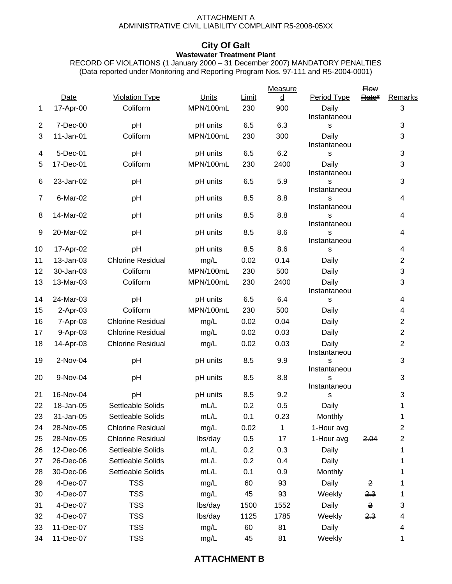#### ATTACHMENT A ADMINISTRATIVE CIVIL LIABILITY COMPLAINT R5-2008-05XX

#### **City Of Galt Wastewater Treatment Plant**

RECORD OF VIOLATIONS (1 January 2000 – 31 December 2007) MANDATORY PENALTIES (Data reported under Monitoring and Reporting Program Nos. 97-111 and R5-2004-0001)

|                |                        |                          |                      |            | Measure                              |                        | <b>Flow</b>                      |                |
|----------------|------------------------|--------------------------|----------------------|------------|--------------------------------------|------------------------|----------------------------------|----------------|
|                | Date                   | <b>Violation Type</b>    | Units                | Limit      | $\underline{\underline{\mathsf{d}}}$ | Period Type            | Rate*                            | Remarks        |
| 1              | 17-Apr-00              | Coliform                 | MPN/100mL            | 230        | 900                                  | Daily<br>Instantaneou  |                                  | 3              |
| $\overline{c}$ | 7-Dec-00               | pH                       | pH units             | 6.5        | 6.3                                  | S                      |                                  | 3              |
| 3              | 11-Jan-01              | Coliform                 | MPN/100mL            | 230        | 300                                  | Daily<br>Instantaneou  |                                  | 3              |
| 4              | 5-Dec-01               | pH                       | pH units             | 6.5        | 6.2                                  | s                      |                                  | 3              |
| 5              | 17-Dec-01              | Coliform                 | MPN/100mL            | 230        | 2400                                 | Daily<br>Instantaneou  |                                  | 3              |
| 6              | 23-Jan-02              | pH                       | pH units             | 6.5        | 5.9                                  | S<br>Instantaneou      |                                  | 3              |
| $\overline{7}$ | 6-Mar-02               | pH                       | pH units             | 8.5        | 8.8                                  | S<br>Instantaneou      |                                  | 4              |
| 8              | 14-Mar-02<br>20-Mar-02 | pH                       | pH units             | 8.5        | 8.8                                  | S<br>Instantaneou      |                                  | 4              |
| 9              |                        | pH                       | pH units             | 8.5        | 8.6<br>8.6                           | S<br>Instantaneou      |                                  | 4              |
| 10             | 17-Apr-02              | pH                       | pH units             | 8.5        |                                      | s                      |                                  | 4              |
| 11             | 13-Jan-03              | <b>Chlorine Residual</b> | mg/L                 | 0.02       | 0.14                                 | Daily                  |                                  | $\overline{c}$ |
| 12             | 30-Jan-03              | Coliform                 | MPN/100mL            | 230        | 500                                  | Daily                  |                                  | 3              |
| 13             | 13-Mar-03              | Coliform                 | MPN/100mL            | 230        | 2400                                 | Daily<br>Instantaneou  |                                  | 3              |
| 14             | 24-Mar-03              | pH                       | pH units             | 6.5        | 6.4                                  | s                      |                                  | 4              |
| 15             | 2-Apr-03               | Coliform                 | MPN/100mL            | 230        | 500                                  | Daily                  |                                  | 4              |
| 16             | 7-Apr-03               | <b>Chlorine Residual</b> | mg/L                 | 0.02       | 0.04                                 | Daily                  |                                  | $\overline{2}$ |
| 17             | 9-Apr-03               | <b>Chlorine Residual</b> | mg/L                 | 0.02       | 0.03                                 | Daily                  |                                  | $\overline{2}$ |
| 18             | 14-Apr-03              | <b>Chlorine Residual</b> | mg/L                 | 0.02       | 0.03                                 | Daily<br>Instantaneou  |                                  | $\overline{2}$ |
| 19             | 2-Nov-04               | pH                       | pH units             | 8.5        | 9.9                                  | S<br>Instantaneou      |                                  | 3              |
| 20<br>21       | 9-Nov-04<br>16-Nov-04  | pH<br>pH                 | pH units<br>pH units | 8.5<br>8.5 | 8.8<br>9.2                           | S<br>Instantaneou<br>S |                                  | 3<br>3         |
| 22             | 18-Jan-05              | Settleable Solids        | mL/L                 | 0.2        | 0.5                                  | Daily                  |                                  | 1              |
| 23             | 31-Jan-05              | Settleable Solids        | mL/L                 | 0.1        | 0.23                                 | Monthly                |                                  | 1              |
| 24             | 28-Nov-05              | <b>Chlorine Residual</b> | mg/L                 | 0.02       | 1                                    | 1-Hour avg             |                                  | $\overline{2}$ |
| 25             | 28-Nov-05              | <b>Chlorine Residual</b> | lbs/day              | 0.5        | 17                                   | 1-Hour avg             | 2.04                             | 2              |
| 26             | 12-Dec-06              | Settleable Solids        | mL/L                 | 0.2        | 0.3                                  | Daily                  |                                  | 1              |
| 27             | 26-Dec-06              | Settleable Solids        | mL/L                 | 0.2        | 0.4                                  | Daily                  |                                  | 1              |
| 28             | 30-Dec-06              | Settleable Solids        | mL/L                 | 0.1        | 0.9                                  | Monthly                |                                  | 1              |
| 29             | 4-Dec-07               | <b>TSS</b>               |                      | 60         | 93                                   | Daily                  | 2                                |                |
|                |                        | <b>TSS</b>               | mg/L                 | 45         |                                      |                        |                                  | 1              |
| 30             | 4-Dec-07               | <b>TSS</b>               | mg/L                 |            | 93                                   | Weekly                 | <del>2.3</del><br>$\overline{2}$ | 1<br>3         |
| 31             | 4-Dec-07               |                          | lbs/day              | 1500       | 1552                                 | Daily                  |                                  |                |
| 32             | 4-Dec-07               | <b>TSS</b>               | lbs/day              | 1125       | 1785                                 | Weekly                 | <del>2.3</del>                   | 4              |
| 33             | 11-Dec-07              | <b>TSS</b>               | mg/L                 | 60         | 81                                   | Daily                  |                                  | 4              |
| 34             | 11-Dec-07              | <b>TSS</b>               | mg/L                 | 45         | 81                                   | Weekly                 |                                  | 1              |

# **ATTACHMENT B**